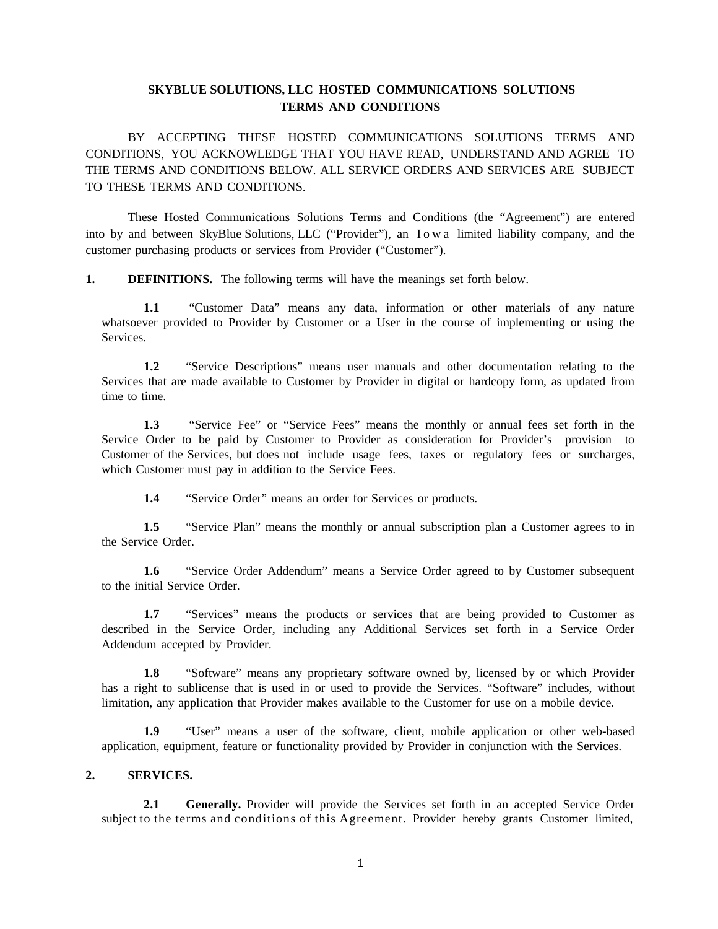# **SKYBLUE SOLUTIONS, LLC HOSTED COMMUNICATIONS SOLUTIONS TERMS AND CONDITIONS**

BY ACCEPTING THESE HOSTED COMMUNICATIONS SOLUTIONS TERMS AND CONDITIONS, YOU ACKNOWLEDGE THAT YOU HAVE READ, UNDERSTAND AND AGREE TO THE TERMS AND CONDITIONS BELOW. ALL SERVICE ORDERS AND SERVICES ARE SUBJECT TO THESE TERMS AND CONDITIONS.

These Hosted Communications Solutions Terms and Conditions (the "Agreement") are entered into by and between SkyBlue Solutions, LLC ("Provider"), an Iowa limited liability company, and the customer purchasing products or services from Provider ("Customer").

**1. DEFINITIONS.** The following terms will have the meanings set forth below.

**1.1** "Customer Data" means any data, information or other materials of any nature whatsoever provided to Provider by Customer or a User in the course of implementing or using the Services.

**1.2** "Service Descriptions" means user manuals and other documentation relating to the Services that are made available to Customer by Provider in digital or hardcopy form, as updated from time to time.

**1.3** "Service Fee" or "Service Fees" means the monthly or annual fees set forth in the Service Order to be paid by Customer to Provider as consideration for Provider's provision to Customer of the Services, but does not include usage fees, taxes or regulatory fees or surcharges, which Customer must pay in addition to the Service Fees.

**1.4** "Service Order" means an order for Services or products.

**1.5** "Service Plan" means the monthly or annual subscription plan a Customer agrees to in the Service Order.

**1.6** "Service Order Addendum" means a Service Order agreed to by Customer subsequent to the initial Service Order.

**1.7** "Services" means the products or services that are being provided to Customer as described in the Service Order, including any Additional Services set forth in a Service Order Addendum accepted by Provider.

**1.8** "Software" means any proprietary software owned by, licensed by or which Provider has a right to sublicense that is used in or used to provide the Services. "Software" includes, without limitation, any application that Provider makes available to the Customer for use on a mobile device.

**1.9** "User" means a user of the software, client, mobile application or other web-based application, equipment, feature or functionality provided by Provider in conjunction with the Services.

## **2. SERVICES.**

**2.1 Generally.** Provider will provide the Services set forth in an accepted Service Order subject to the terms and conditions of this Agreement. Provider hereby grants Customer limited,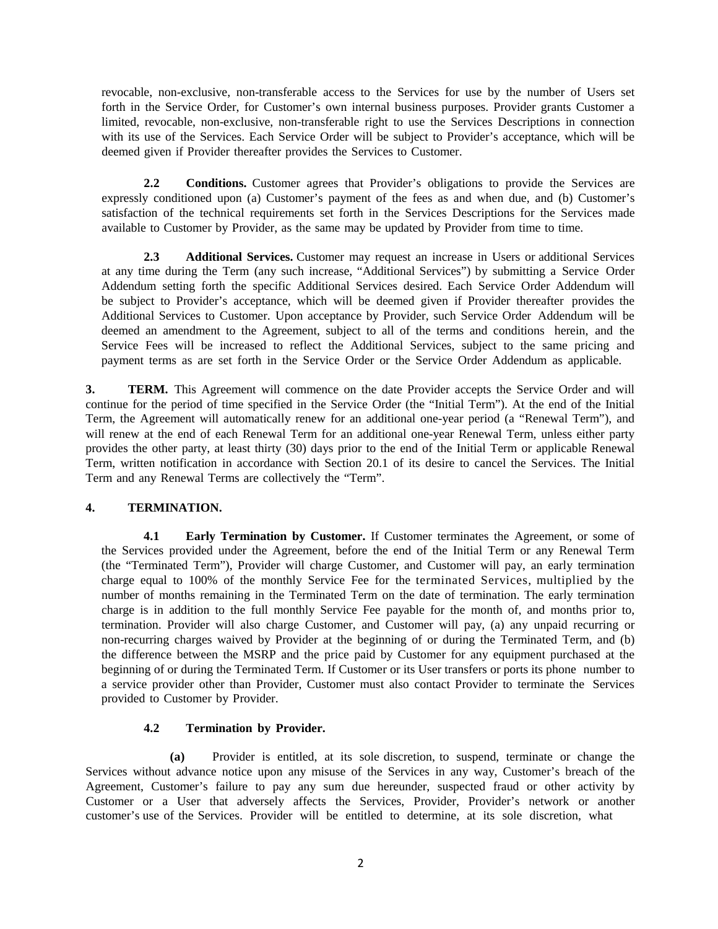revocable, non-exclusive, non-transferable access to the Services for use by the number of Users set forth in the Service Order, for Customer's own internal business purposes. Provider grants Customer a limited, revocable, non-exclusive, non-transferable right to use the Services Descriptions in connection with its use of the Services. Each Service Order will be subject to Provider's acceptance, which will be deemed given if Provider thereafter provides the Services to Customer.

**2.2 Conditions.** Customer agrees that Provider's obligations to provide the Services are expressly conditioned upon (a) Customer's payment of the fees as and when due, and (b) Customer's satisfaction of the technical requirements set forth in the Services Descriptions for the Services made available to Customer by Provider, as the same may be updated by Provider from time to time.

**2.3 Additional Services.** Customer may request an increase in Users or additional Services at any time during the Term (any such increase, "Additional Services") by submitting a Service Order Addendum setting forth the specific Additional Services desired. Each Service Order Addendum will be subject to Provider's acceptance, which will be deemed given if Provider thereafter provides the Additional Services to Customer. Upon acceptance by Provider, such Service Order Addendum will be deemed an amendment to the Agreement, subject to all of the terms and conditions herein, and the Service Fees will be increased to reflect the Additional Services, subject to the same pricing and payment terms as are set forth in the Service Order or the Service Order Addendum as applicable.

**3. TERM.** This Agreement will commence on the date Provider accepts the Service Order and will continue for the period of time specified in the Service Order (the "Initial Term"). At the end of the Initial Term, the Agreement will automatically renew for an additional one-year period (a "Renewal Term"), and will renew at the end of each Renewal Term for an additional one-year Renewal Term, unless either party provides the other party, at least thirty (30) days prior to the end of the Initial Term or applicable Renewal Term, written notification in accordance with Section 20.1 of its desire to cancel the Services. The Initial Term and any Renewal Terms are collectively the "Term".

### **4. TERMINATION.**

**4.1 Early Termination by Customer.** If Customer terminates the Agreement, or some of the Services provided under the Agreement, before the end of the Initial Term or any Renewal Term (the "Terminated Term"), Provider will charge Customer, and Customer will pay, an early termination charge equal to 100% of the monthly Service Fee for the terminated Services, multiplied by the number of months remaining in the Terminated Term on the date of termination. The early termination charge is in addition to the full monthly Service Fee payable for the month of, and months prior to, termination. Provider will also charge Customer, and Customer will pay, (a) any unpaid recurring or non-recurring charges waived by Provider at the beginning of or during the Terminated Term, and (b) the difference between the MSRP and the price paid by Customer for any equipment purchased at the beginning of or during the Terminated Term. If Customer or its User transfers or ports its phone number to a service provider other than Provider, Customer must also contact Provider to terminate the Services provided to Customer by Provider.

### **4.2 Termination by Provider.**

**(a)** Provider is entitled, at its sole discretion, to suspend, terminate or change the Services without advance notice upon any misuse of the Services in any way, Customer's breach of the Agreement, Customer's failure to pay any sum due hereunder, suspected fraud or other activity by Customer or a User that adversely affects the Services, Provider, Provider's network or another customer's use of the Services. Provider will be entitled to determine, at its sole discretion, what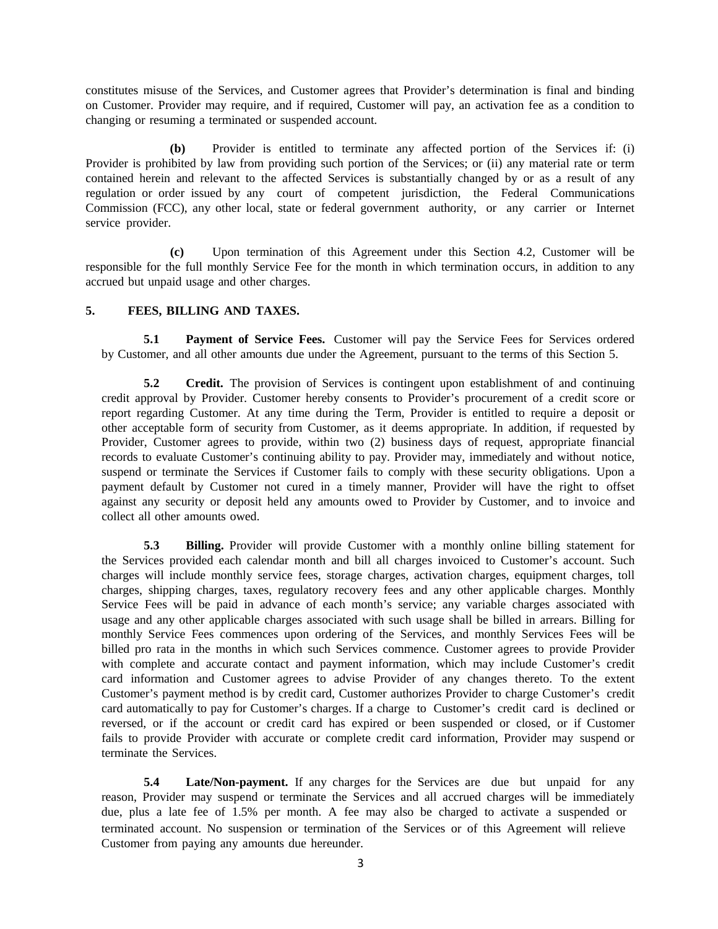constitutes misuse of the Services, and Customer agrees that Provider's determination is final and binding on Customer. Provider may require, and if required, Customer will pay, an activation fee as a condition to changing or resuming a terminated or suspended account.

**(b)** Provider is entitled to terminate any affected portion of the Services if: (i) Provider is prohibited by law from providing such portion of the Services; or (ii) any material rate or term contained herein and relevant to the affected Services is substantially changed by or as a result of any regulation or order issued by any court of competent jurisdiction, the Federal Communications Commission (FCC), any other local, state or federal government authority, or any carrier or Internet service provider.

**(c)** Upon termination of this Agreement under this Section 4.2, Customer will be responsible for the full monthly Service Fee for the month in which termination occurs, in addition to any accrued but unpaid usage and other charges.

## **5. FEES, BILLING AND TAXES.**

**5.1 Payment of Service Fees.** Customer will pay the Service Fees for Services ordered by Customer, and all other amounts due under the Agreement, pursuant to the terms of this Section 5.

**5.2 Credit.** The provision of Services is contingent upon establishment of and continuing credit approval by Provider. Customer hereby consents to Provider's procurement of a credit score or report regarding Customer. At any time during the Term, Provider is entitled to require a deposit or other acceptable form of security from Customer, as it deems appropriate. In addition, if requested by Provider, Customer agrees to provide, within two (2) business days of request, appropriate financial records to evaluate Customer's continuing ability to pay. Provider may, immediately and without notice, suspend or terminate the Services if Customer fails to comply with these security obligations. Upon a payment default by Customer not cured in a timely manner, Provider will have the right to offset against any security or deposit held any amounts owed to Provider by Customer, and to invoice and collect all other amounts owed.

**5.3 Billing.** Provider will provide Customer with a monthly online billing statement for the Services provided each calendar month and bill all charges invoiced to Customer's account. Such charges will include monthly service fees, storage charges, activation charges, equipment charges, toll charges, shipping charges, taxes, regulatory recovery fees and any other applicable charges. Monthly Service Fees will be paid in advance of each month's service; any variable charges associated with usage and any other applicable charges associated with such usage shall be billed in arrears. Billing for monthly Service Fees commences upon ordering of the Services, and monthly Services Fees will be billed pro rata in the months in which such Services commence. Customer agrees to provide Provider with complete and accurate contact and payment information, which may include Customer's credit card information and Customer agrees to advise Provider of any changes thereto. To the extent Customer's payment method is by credit card, Customer authorizes Provider to charge Customer's credit card automatically to pay for Customer's charges. If a charge to Customer's credit card is declined or reversed, or if the account or credit card has expired or been suspended or closed, or if Customer fails to provide Provider with accurate or complete credit card information, Provider may suspend or terminate the Services.

**5.4 Late/Non-payment.** If any charges for the Services are due but unpaid for any reason, Provider may suspend or terminate the Services and all accrued charges will be immediately due, plus a late fee of 1.5% per month. A fee may also be charged to activate a suspended or terminated account. No suspension or termination of the Services or of this Agreement will relieve Customer from paying any amounts due hereunder.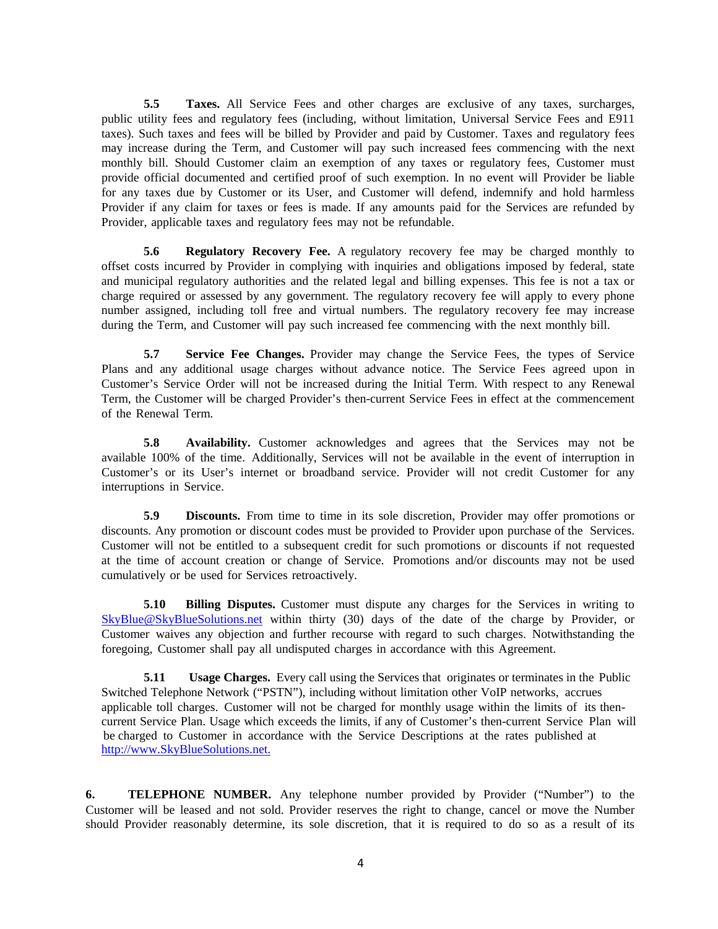**5.5 Taxes.** All Service Fees and other charges are exclusive of any taxes, surcharges, public utility fees and regulatory fees (including, without limitation, Universal Service Fees and E911 taxes). Such taxes and fees will be billed by Provider and paid by Customer. Taxes and regulatory fees may increase during the Term, and Customer will pay such increased fees commencing with the next monthly bill. Should Customer claim an exemption of any taxes or regulatory fees, Customer must provide official documented and certified proof of such exemption. In no event will Provider be liable for any taxes due by Customer or its User, and Customer will defend, indemnify and hold harmless Provider if any claim for taxes or fees is made. If any amounts paid for the Services are refunded by Provider, applicable taxes and regulatory fees may not be refundable.

**5.6 Regulatory Recovery Fee.** A regulatory recovery fee may be charged monthly to offset costs incurred by Provider in complying with inquiries and obligations imposed by federal, state and municipal regulatory authorities and the related legal and billing expenses. This fee is not a tax or charge required or assessed by any government. The regulatory recovery fee will apply to every phone number assigned, including toll free and virtual numbers. The regulatory recovery fee may increase during the Term, and Customer will pay such increased fee commencing with the next monthly bill.

**5.7 Service Fee Changes.** Provider may change the Service Fees, the types of Service Plans and any additional usage charges without advance notice. The Service Fees agreed upon in Customer's Service Order will not be increased during the Initial Term. With respect to any Renewal Term, the Customer will be charged Provider's then-current Service Fees in effect at the commencement of the Renewal Term.

**5.8 Availability.** Customer acknowledges and agrees that the Services may not be available 100% of the time. Additionally, Services will not be available in the event of interruption in Customer's or its User's internet or broadband service. Provider will not credit Customer for any interruptions in Service.

**5.9 Discounts.** From time to time in its sole discretion, Provider may offer promotions or discounts. Any promotion or discount codes must be provided to Provider upon purchase of the Services. Customer will not be entitled to a subsequent credit for such promotions or discounts if not requested at the time of account creation or change of Service. Promotions and/or discounts may not be used cumulatively or be used for Services retroactively.

**5.10 Billing Disputes.** Customer must dispute any charges for the Services in writing to [SkyBlue@SkyBlueSolutions.net](mailto:SkyBlue@SkyBlueSolutions.net) within thirty (30) days of the date of the charge by Provider, or Customer waives any objection and further recourse with regard to such charges. Notwithstanding the foregoing, Customer shall pay all undisputed charges in accordance with this Agreement.

**5.11** Usage Charges. Every call using the Services that originates or terminates in the Public Switched Telephone Network ("PSTN"), including without limitation other VoIP networks, accrues applicable toll charges. Customer will not be charged for monthly usage within the limits of its then current Service Plan. Usage which exceeds the limits, if any of Customer's then-current Service Plan will be charged to Customer in accordance with the Service Descriptions at the rates published at [http://www.SkyBlueSolutions.net.](http://www.skybluesolutions.net./)

**6. TELEPHONE NUMBER.** Any telephone number provided by Provider ("Number") to the Customer will be leased and not sold. Provider reserves the right to change, cancel or move the Number should Provider reasonably determine, its sole discretion, that it is required to do so as a result of its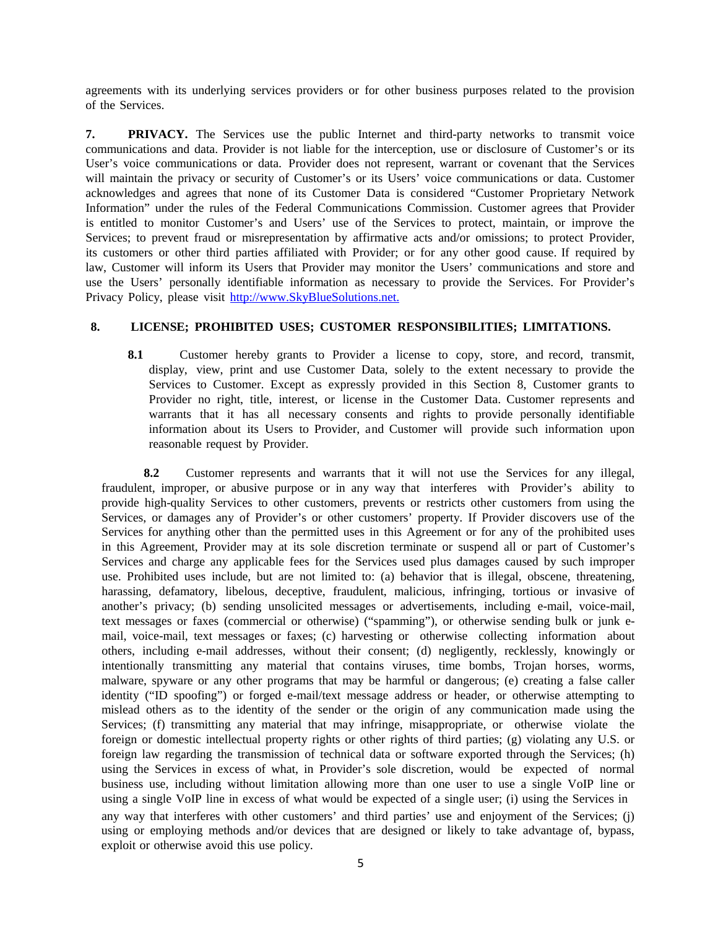agreements with its underlying services providers or for other business purposes related to the provision of the Services.

**7. PRIVACY.** The Services use the public Internet and third-party networks to transmit voice communications and data. Provider is not liable for the interception, use or disclosure of Customer's or its User's voice communications or data. Provider does not represent, warrant or covenant that the Services will maintain the privacy or security of Customer's or its Users' voice communications or data. Customer acknowledges and agrees that none of its Customer Data is considered "Customer Proprietary Network Information" under the rules of the Federal Communications Commission. Customer agrees that Provider is entitled to monitor Customer's and Users' use of the Services to protect, maintain, or improve the Services; to prevent fraud or misrepresentation by affirmative acts and/or omissions; to protect Provider, its customers or other third parties affiliated with Provider; or for any other good cause. If required by law, Customer will inform its Users that Provider may monitor the Users' communications and store and use the Users' personally identifiable information as necessary to provide the Services. For Provider's Privacy Policy, please visit [http://www.SkyBlueSolutions.net.](http://www.skybluesolutions.net./)

## **8. LICENSE; PROHIBITED USES; CUSTOMER RESPONSIBILITIES; LIMITATIONS.**

**8.1** Customer hereby grants to Provider a license to copy, store, and record, transmit, display, view, print and use Customer Data, solely to the extent necessary to provide the Services to Customer. Except as expressly provided in this Section 8, Customer grants to Provider no right, title, interest, or license in the Customer Data. Customer represents and warrants that it has all necessary consents and rights to provide personally identifiable information about its Users to Provider, and Customer will provide such information upon reasonable request by Provider.

**8.2** Customer represents and warrants that it will not use the Services for any illegal, fraudulent, improper, or abusive purpose or in any way that interferes with Provider's ability to provide high-quality Services to other customers, prevents or restricts other customers from using the Services, or damages any of Provider's or other customers' property. If Provider discovers use of the Services for anything other than the permitted uses in this Agreement or for any of the prohibited uses in this Agreement, Provider may at its sole discretion terminate or suspend all or part of Customer's Services and charge any applicable fees for the Services used plus damages caused by such improper use. Prohibited uses include, but are not limited to: (a) behavior that is illegal, obscene, threatening, harassing, defamatory, libelous, deceptive, fraudulent, malicious, infringing, tortious or invasive of another's privacy; (b) sending unsolicited messages or advertisements, including e-mail, voice-mail, text messages or faxes (commercial or otherwise) ("spamming"), or otherwise sending bulk or junk email, voice-mail, text messages or faxes; (c) harvesting or otherwise collecting information about others, including e-mail addresses, without their consent; (d) negligently, recklessly, knowingly or intentionally transmitting any material that contains viruses, time bombs, Trojan horses, worms, malware, spyware or any other programs that may be harmful or dangerous; (e) creating a false caller identity ("ID spoofing") or forged e-mail/text message address or header, or otherwise attempting to mislead others as to the identity of the sender or the origin of any communication made using the Services; (f) transmitting any material that may infringe, misappropriate, or otherwise violate the foreign or domestic intellectual property rights or other rights of third parties; (g) violating any U.S. or foreign law regarding the transmission of technical data or software exported through the Services; (h) using the Services in excess of what, in Provider's sole discretion, would be expected of normal business use, including without limitation allowing more than one user to use a single VoIP line or using a single VoIP line in excess of what would be expected of a single user; (i) using the Services in any way that interferes with other customers' and third parties' use and enjoyment of the Services; (j) using or employing methods and/or devices that are designed or likely to take advantage of, bypass, exploit or otherwise avoid this use policy.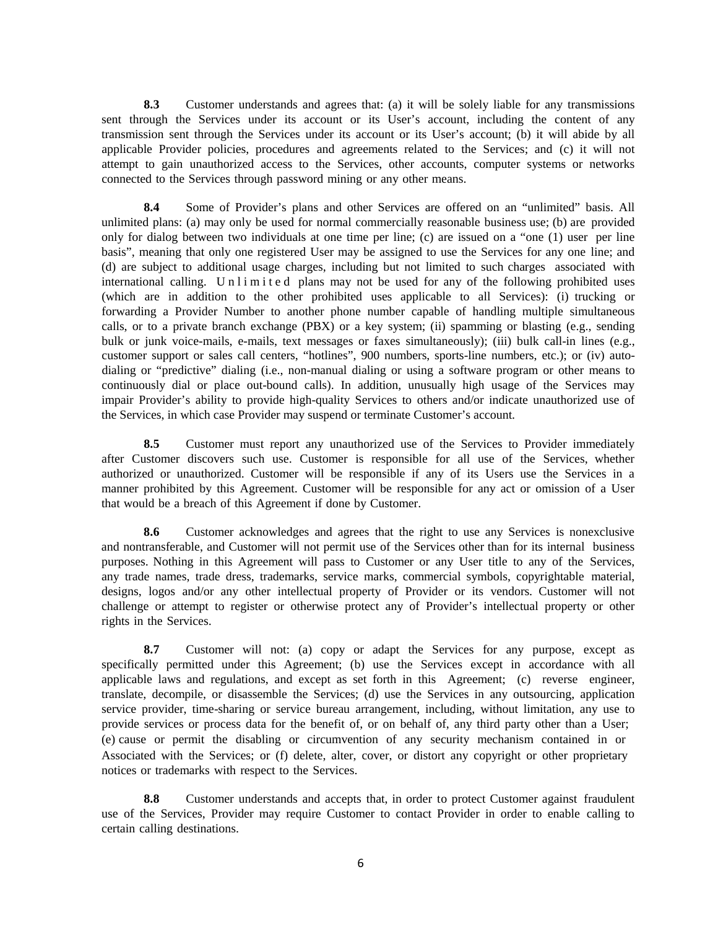**8.3** Customer understands and agrees that: (a) it will be solely liable for any transmissions sent through the Services under its account or its User's account, including the content of any transmission sent through the Services under its account or its User's account; (b) it will abide by all applicable Provider policies, procedures and agreements related to the Services; and (c) it will not attempt to gain unauthorized access to the Services, other accounts, computer systems or networks connected to the Services through password mining or any other means.

**8.4** Some of Provider's plans and other Services are offered on an "unlimited" basis. All unlimited plans: (a) may only be used for normal commercially reasonable business use; (b) are provided only for dialog between two individuals at one time per line; (c) are issued on a "one (1) user per line basis", meaning that only one registered User may be assigned to use the Services for any one line; and (d) are subject to additional usage charges, including but not limited to such charges associated with international calling. Unlimited plans may not be used for any of the following prohibited uses (which are in addition to the other prohibited uses applicable to all Services): (i) trucking or forwarding a Provider Number to another phone number capable of handling multiple simultaneous calls, or to a private branch exchange (PBX) or a key system; (ii) spamming or blasting (e.g., sending bulk or junk voice-mails, e-mails, text messages or faxes simultaneously); (iii) bulk call-in lines (e.g., customer support or sales call centers, "hotlines", 900 numbers, sports-line numbers, etc.); or (iv) autodialing or "predictive" dialing (i.e., non-manual dialing or using a software program or other means to continuously dial or place out-bound calls). In addition, unusually high usage of the Services may impair Provider's ability to provide high-quality Services to others and/or indicate unauthorized use of the Services, in which case Provider may suspend or terminate Customer's account.

**8.5** Customer must report any unauthorized use of the Services to Provider immediately after Customer discovers such use. Customer is responsible for all use of the Services, whether authorized or unauthorized. Customer will be responsible if any of its Users use the Services in a manner prohibited by this Agreement. Customer will be responsible for any act or omission of a User that would be a breach of this Agreement if done by Customer.

**8.6** Customer acknowledges and agrees that the right to use any Services is nonexclusive and nontransferable, and Customer will not permit use of the Services other than for its internal business purposes. Nothing in this Agreement will pass to Customer or any User title to any of the Services, any trade names, trade dress, trademarks, service marks, commercial symbols, copyrightable material, designs, logos and/or any other intellectual property of Provider or its vendors. Customer will not challenge or attempt to register or otherwise protect any of Provider's intellectual property or other rights in the Services.

**8.7** Customer will not: (a) copy or adapt the Services for any purpose, except as specifically permitted under this Agreement; (b) use the Services except in accordance with all applicable laws and regulations, and except as set forth in this Agreement; (c) reverse engineer, translate, decompile, or disassemble the Services; (d) use the Services in any outsourcing, application service provider, time-sharing or service bureau arrangement, including, without limitation, any use to provide services or process data for the benefit of, or on behalf of, any third party other than a User; (e) cause or permit the disabling or circumvention of any security mechanism contained in or Associated with the Services; or (f) delete, alter, cover, or distort any copyright or other proprietary notices or trademarks with respect to the Services.

**8.8** Customer understands and accepts that, in order to protect Customer against fraudulent use of the Services, Provider may require Customer to contact Provider in order to enable calling to certain calling destinations.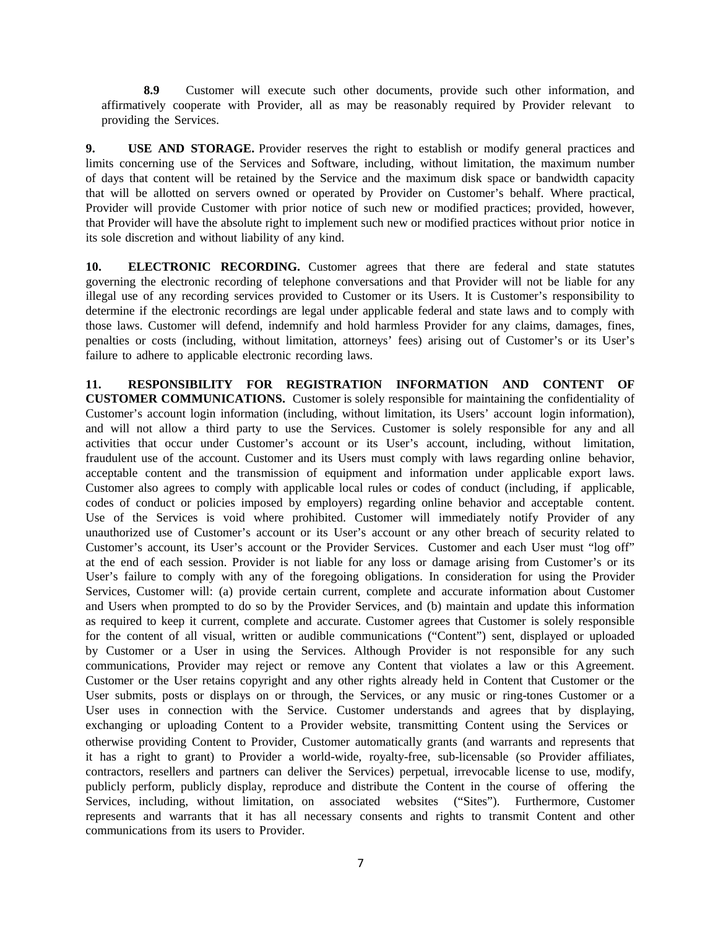**8.9** Customer will execute such other documents, provide such other information, and affirmatively cooperate with Provider, all as may be reasonably required by Provider relevant to providing the Services.

**9. USE AND STORAGE.** Provider reserves the right to establish or modify general practices and limits concerning use of the Services and Software, including, without limitation, the maximum number of days that content will be retained by the Service and the maximum disk space or bandwidth capacity that will be allotted on servers owned or operated by Provider on Customer's behalf. Where practical, Provider will provide Customer with prior notice of such new or modified practices; provided, however, that Provider will have the absolute right to implement such new or modified practices without prior notice in its sole discretion and without liability of any kind.

10. **ELECTRONIC RECORDING.** Customer agrees that there are federal and state statutes governing the electronic recording of telephone conversations and that Provider will not be liable for any illegal use of any recording services provided to Customer or its Users. It is Customer's responsibility to determine if the electronic recordings are legal under applicable federal and state laws and to comply with those laws. Customer will defend, indemnify and hold harmless Provider for any claims, damages, fines, penalties or costs (including, without limitation, attorneys' fees) arising out of Customer's or its User's failure to adhere to applicable electronic recording laws.

**11. RESPONSIBILITY FOR REGISTRATION INFORMATION AND CONTENT OF CUSTOMER COMMUNICATIONS.** Customer is solely responsible for maintaining the confidentiality of Customer's account login information (including, without limitation, its Users' account login information), and will not allow a third party to use the Services. Customer is solely responsible for any and all activities that occur under Customer's account or its User's account, including, without limitation, fraudulent use of the account. Customer and its Users must comply with laws regarding online behavior, acceptable content and the transmission of equipment and information under applicable export laws. Customer also agrees to comply with applicable local rules or codes of conduct (including, if applicable, codes of conduct or policies imposed by employers) regarding online behavior and acceptable content. Use of the Services is void where prohibited. Customer will immediately notify Provider of any unauthorized use of Customer's account or its User's account or any other breach of security related to Customer's account, its User's account or the Provider Services. Customer and each User must "log off" at the end of each session. Provider is not liable for any loss or damage arising from Customer's or its User's failure to comply with any of the foregoing obligations. In consideration for using the Provider Services, Customer will: (a) provide certain current, complete and accurate information about Customer and Users when prompted to do so by the Provider Services, and (b) maintain and update this information as required to keep it current, complete and accurate. Customer agrees that Customer is solely responsible for the content of all visual, written or audible communications ("Content") sent, displayed or uploaded by Customer or a User in using the Services. Although Provider is not responsible for any such communications, Provider may reject or remove any Content that violates a law or this Agreement. Customer or the User retains copyright and any other rights already held in Content that Customer or the User submits, posts or displays on or through, the Services, or any music or ring-tones Customer or a User uses in connection with the Service. Customer understands and agrees that by displaying, exchanging or uploading Content to a Provider website, transmitting Content using the Services or otherwise providing Content to Provider, Customer automatically grants (and warrants and represents that it has a right to grant) to Provider a world-wide, royalty-free, sub-licensable (so Provider affiliates, contractors, resellers and partners can deliver the Services) perpetual, irrevocable license to use, modify, publicly perform, publicly display, reproduce and distribute the Content in the course of offering the Services, including, without limitation, on associated websites ("Sites"). Furthermore, Customer represents and warrants that it has all necessary consents and rights to transmit Content and other communications from its users to Provider.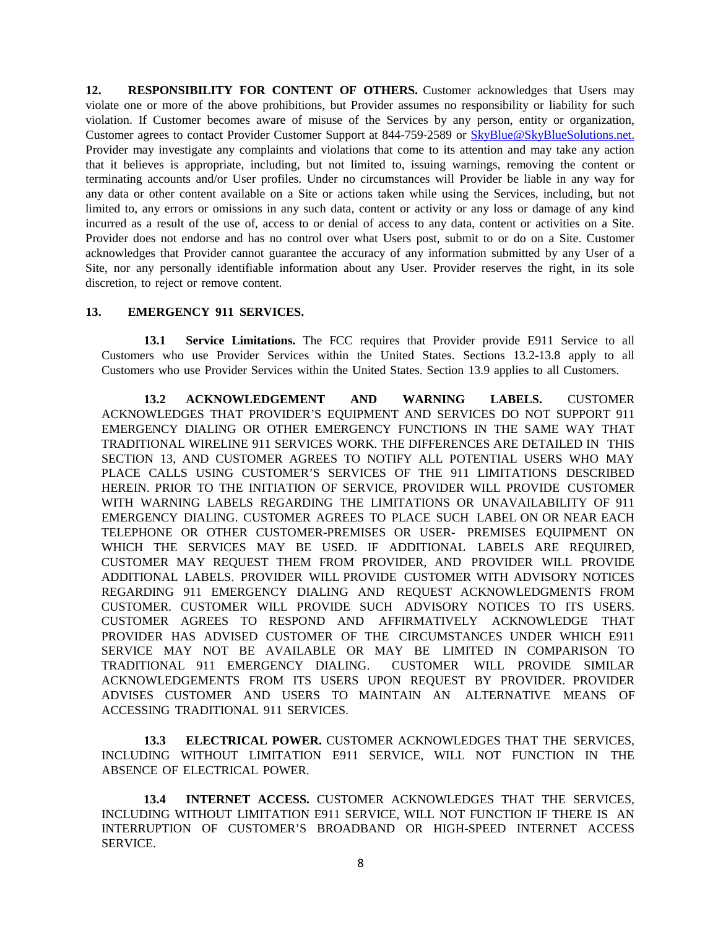**12. RESPONSIBILITY FOR CONTENT OF OTHERS.** Customer acknowledges that Users may violate one or more of the above prohibitions, but Provider assumes no responsibility or liability for such violation. If Customer becomes aware of misuse of the Services by any person, entity or organization, Customer agrees to contact Provider Customer Support at 844-759-2589 or **[SkyBlue@SkyBlueSolutions.net.](mailto:SkyBlue@SkyBlueSolutions.net.)** Provider may investigate any complaints and violations that come to its attention and may take any action that it believes is appropriate, including, but not limited to, issuing warnings, removing the content or terminating accounts and/or User profiles. Under no circumstances will Provider be liable in any way for any data or other content available on a Site or actions taken while using the Services, including, but not limited to, any errors or omissions in any such data, content or activity or any loss or damage of any kind incurred as a result of the use of, access to or denial of access to any data, content or activities on a Site. Provider does not endorse and has no control over what Users post, submit to or do on a Site. Customer acknowledges that Provider cannot guarantee the accuracy of any information submitted by any User of a Site, nor any personally identifiable information about any User. Provider reserves the right, in its sole discretion, to reject or remove content.

### **13. EMERGENCY 911 SERVICES.**

**13.1 Service Limitations.** The FCC requires that Provider provide E911 Service to all Customers who use Provider Services within the United States. Sections 13.2-13.8 apply to all Customers who use Provider Services within the United States. Section 13.9 applies to all Customers.

**13.2 ACKNOWLEDGEMENT AND WARNING LABELS.** CUSTOMER ACKNOWLEDGES THAT PROVIDER'S EQUIPMENT AND SERVICES DO NOT SUPPORT 911 EMERGENCY DIALING OR OTHER EMERGENCY FUNCTIONS IN THE SAME WAY THAT TRADITIONAL WIRELINE 911 SERVICES WORK. THE DIFFERENCES ARE DETAILED IN THIS SECTION 13, AND CUSTOMER AGREES TO NOTIFY ALL POTENTIAL USERS WHO MAY PLACE CALLS USING CUSTOMER'S SERVICES OF THE 911 LIMITATIONS DESCRIBED HEREIN. PRIOR TO THE INITIATION OF SERVICE, PROVIDER WILL PROVIDE CUSTOMER WITH WARNING LABELS REGARDING THE LIMITATIONS OR UNAVAILABILITY OF 911 EMERGENCY DIALING. CUSTOMER AGREES TO PLACE SUCH LABEL ON OR NEAR EACH TELEPHONE OR OTHER CUSTOMER-PREMISES OR USER- PREMISES EQUIPMENT ON WHICH THE SERVICES MAY BE USED. IF ADDITIONAL LABELS ARE REQUIRED, CUSTOMER MAY REQUEST THEM FROM PROVIDER, AND PROVIDER WILL PROVIDE ADDITIONAL LABELS. PROVIDER WILL PROVIDE CUSTOMER WITH ADVISORY NOTICES REGARDING 911 EMERGENCY DIALING AND REQUEST ACKNOWLEDGMENTS FROM CUSTOMER. CUSTOMER WILL PROVIDE SUCH ADVISORY NOTICES TO ITS USERS. CUSTOMER AGREES TO RESPOND AND AFFIRMATIVELY ACKNOWLEDGE THAT PROVIDER HAS ADVISED CUSTOMER OF THE CIRCUMSTANCES UNDER WHICH E911 SERVICE MAY NOT BE AVAILABLE OR MAY BE LIMITED IN COMPARISON TO TRADITIONAL 911 EMERGENCY DIALING. CUSTOMER WILL PROVIDE SIMILAR ACKNOWLEDGEMENTS FROM ITS USERS UPON REQUEST BY PROVIDER. PROVIDER ADVISES CUSTOMER AND USERS TO MAINTAIN AN ALTERNATIVE MEANS OF ACCESSING TRADITIONAL 911 SERVICES.

**13.3 ELECTRICAL POWER.** CUSTOMER ACKNOWLEDGES THAT THE SERVICES, INCLUDING WITHOUT LIMITATION E911 SERVICE, WILL NOT FUNCTION IN THE ABSENCE OF ELECTRICAL POWER.

**13.4 INTERNET ACCESS.** CUSTOMER ACKNOWLEDGES THAT THE SERVICES, INCLUDING WITHOUT LIMITATION E911 SERVICE, WILL NOT FUNCTION IF THERE IS AN INTERRUPTION OF CUSTOMER'S BROADBAND OR HIGH-SPEED INTERNET ACCESS SERVICE.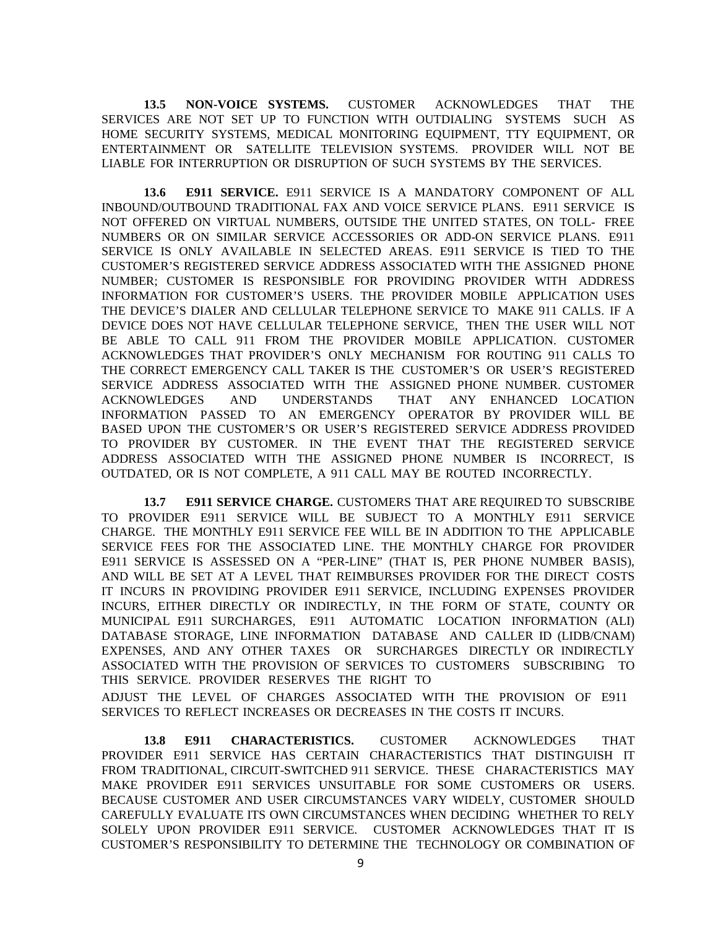**13.5 NON-VOICE SYSTEMS.** CUSTOMER ACKNOWLEDGES THAT THE SERVICES ARE NOT SET UP TO FUNCTION WITH OUTDIALING SYSTEMS SUCH AS HOME SECURITY SYSTEMS, MEDICAL MONITORING EQUIPMENT, TTY EQUIPMENT, OR ENTERTAINMENT OR SATELLITE TELEVISION SYSTEMS. PROVIDER WILL NOT BE LIABLE FOR INTERRUPTION OR DISRUPTION OF SUCH SYSTEMS BY THE SERVICES.

**13.6 E911 SERVICE.** E911 SERVICE IS A MANDATORY COMPONENT OF ALL INBOUND/OUTBOUND TRADITIONAL FAX AND VOICE SERVICE PLANS. E911 SERVICE IS NOT OFFERED ON VIRTUAL NUMBERS, OUTSIDE THE UNITED STATES, ON TOLL- FREE NUMBERS OR ON SIMILAR SERVICE ACCESSORIES OR ADD-ON SERVICE PLANS. E911 SERVICE IS ONLY AVAILABLE IN SELECTED AREAS. E911 SERVICE IS TIED TO THE CUSTOMER'S REGISTERED SERVICE ADDRESS ASSOCIATED WITH THE ASSIGNED PHONE NUMBER; CUSTOMER IS RESPONSIBLE FOR PROVIDING PROVIDER WITH ADDRESS INFORMATION FOR CUSTOMER'S USERS. THE PROVIDER MOBILE APPLICATION USES THE DEVICE'S DIALER AND CELLULAR TELEPHONE SERVICE TO MAKE 911 CALLS. IF A DEVICE DOES NOT HAVE CELLULAR TELEPHONE SERVICE, THEN THE USER WILL NOT BE ABLE TO CALL 911 FROM THE PROVIDER MOBILE APPLICATION. CUSTOMER ACKNOWLEDGES THAT PROVIDER'S ONLY MECHANISM FOR ROUTING 911 CALLS TO THE CORRECT EMERGENCY CALL TAKER IS THE CUSTOMER'S OR USER'S REGISTERED SERVICE ADDRESS ASSOCIATED WITH THE ASSIGNED PHONE NUMBER. CUSTOMER ACKNOWLEDGES AND UNDERSTANDS THAT ANY ENHANCED LOCATION INFORMATION PASSED TO AN EMERGENCY OPERATOR BY PROVIDER WILL BE BASED UPON THE CUSTOMER'S OR USER'S REGISTERED SERVICE ADDRESS PROVIDED TO PROVIDER BY CUSTOMER. IN THE EVENT THAT THE REGISTERED SERVICE ADDRESS ASSOCIATED WITH THE ASSIGNED PHONE NUMBER IS INCORRECT, IS OUTDATED, OR IS NOT COMPLETE, A 911 CALL MAY BE ROUTED INCORRECTLY.

**13.7 E911 SERVICE CHARGE.** CUSTOMERS THAT ARE REQUIRED TO SUBSCRIBE TO PROVIDER E911 SERVICE WILL BE SUBJECT TO A MONTHLY E911 SERVICE CHARGE. THE MONTHLY E911 SERVICE FEE WILL BE IN ADDITION TO THE APPLICABLE SERVICE FEES FOR THE ASSOCIATED LINE. THE MONTHLY CHARGE FOR PROVIDER E911 SERVICE IS ASSESSED ON A "PER-LINE" (THAT IS, PER PHONE NUMBER BASIS), AND WILL BE SET AT A LEVEL THAT REIMBURSES PROVIDER FOR THE DIRECT COSTS IT INCURS IN PROVIDING PROVIDER E911 SERVICE, INCLUDING EXPENSES PROVIDER INCURS, EITHER DIRECTLY OR INDIRECTLY, IN THE FORM OF STATE, COUNTY OR MUNICIPAL E911 SURCHARGES, E911 AUTOMATIC LOCATION INFORMATION (ALI) DATABASE STORAGE, LINE INFORMATION DATABASE AND CALLER ID (LIDB/CNAM) EXPENSES, AND ANY OTHER TAXES OR SURCHARGES DIRECTLY OR INDIRECTLY ASSOCIATED WITH THE PROVISION OF SERVICES TO CUSTOMERS SUBSCRIBING TO THIS SERVICE. PROVIDER RESERVES THE RIGHT TO

ADJUST THE LEVEL OF CHARGES ASSOCIATED WITH THE PROVISION OF E911 SERVICES TO REFLECT INCREASES OR DECREASES IN THE COSTS IT INCURS.

**13.8 E911 CHARACTERISTICS.** CUSTOMER ACKNOWLEDGES THAT PROVIDER E911 SERVICE HAS CERTAIN CHARACTERISTICS THAT DISTINGUISH IT FROM TRADITIONAL, CIRCUIT-SWITCHED 911 SERVICE. THESE CHARACTERISTICS MAY MAKE PROVIDER E911 SERVICES UNSUITABLE FOR SOME CUSTOMERS OR USERS. BECAUSE CUSTOMER AND USER CIRCUMSTANCES VARY WIDELY, CUSTOMER SHOULD CAREFULLY EVALUATE ITS OWN CIRCUMSTANCES WHEN DECIDING WHETHER TO RELY SOLELY UPON PROVIDER E911 SERVICE. CUSTOMER ACKNOWLEDGES THAT IT IS CUSTOMER'S RESPONSIBILITY TO DETERMINE THE TECHNOLOGY OR COMBINATION OF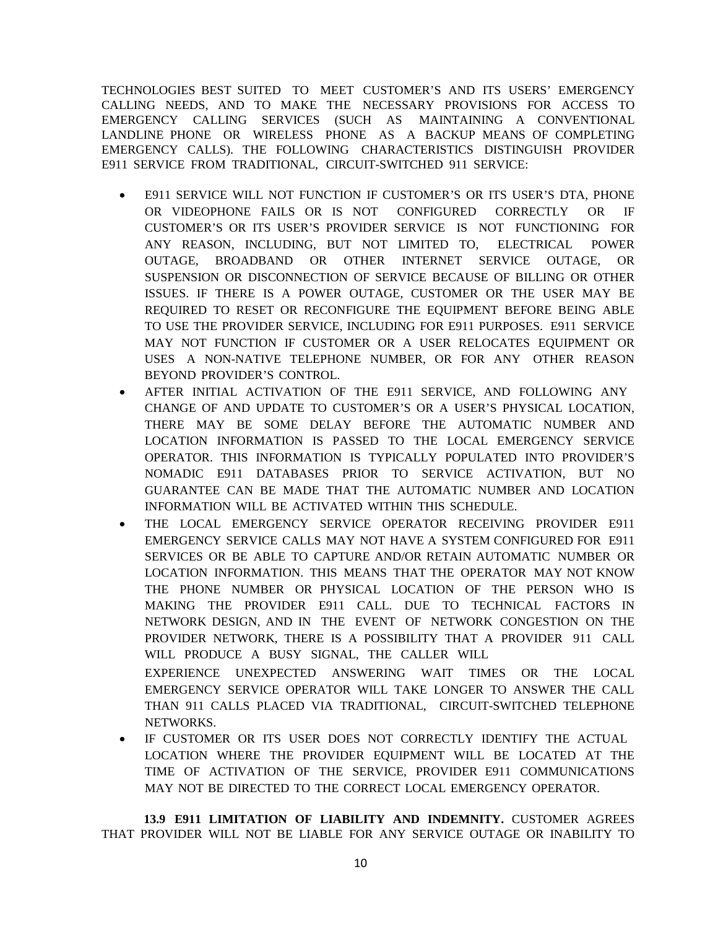TECHNOLOGIES BEST SUITED TO MEET CUSTOMER'S AND ITS USERS' EMERGENCY CALLING NEEDS, AND TO MAKE THE NECESSARY PROVISIONS FOR ACCESS TO EMERGENCY CALLING SERVICES (SUCH AS MAINTAINING A CONVENTIONAL LANDLINE PHONE OR WIRELESS PHONE AS A BACKUP MEANS OF COMPLETING EMERGENCY CALLS). THE FOLLOWING CHARACTERISTICS DISTINGUISH PROVIDER E911 SERVICE FROM TRADITIONAL, CIRCUIT-SWITCHED 911 SERVICE:

- E911 SERVICE WILL NOT FUNCTION IF CUSTOMER'S OR ITS USER'S DTA, PHONE OR VIDEOPHONE FAILS OR IS NOT CONFIGURED CORRECTLY OR IF CUSTOMER'S OR ITS USER'S PROVIDER SERVICE IS NOT FUNCTIONING FOR ANY REASON, INCLUDING, BUT NOT LIMITED TO, ELECTRICAL POWER OUTAGE, BROADBAND OR OTHER INTERNET SERVICE OUTAGE, OR SUSPENSION OR DISCONNECTION OF SERVICE BECAUSE OF BILLING OR OTHER ISSUES. IF THERE IS A POWER OUTAGE, CUSTOMER OR THE USER MAY BE REQUIRED TO RESET OR RECONFIGURE THE EQUIPMENT BEFORE BEING ABLE TO USE THE PROVIDER SERVICE, INCLUDING FOR E911 PURPOSES. E911 SERVICE MAY NOT FUNCTION IF CUSTOMER OR A USER RELOCATES EQUIPMENT OR USES A NON-NATIVE TELEPHONE NUMBER, OR FOR ANY OTHER REASON BEYOND PROVIDER'S CONTROL.
- AFTER INITIAL ACTIVATION OF THE E911 SERVICE, AND FOLLOWING ANY CHANGE OF AND UPDATE TO CUSTOMER'S OR A USER'S PHYSICAL LOCATION, THERE MAY BE SOME DELAY BEFORE THE AUTOMATIC NUMBER AND LOCATION INFORMATION IS PASSED TO THE LOCAL EMERGENCY SERVICE OPERATOR. THIS INFORMATION IS TYPICALLY POPULATED INTO PROVIDER'S NOMADIC E911 DATABASES PRIOR TO SERVICE ACTIVATION, BUT NO GUARANTEE CAN BE MADE THAT THE AUTOMATIC NUMBER AND LOCATION INFORMATION WILL BE ACTIVATED WITHIN THIS SCHEDULE.
- THE LOCAL EMERGENCY SERVICE OPERATOR RECEIVING PROVIDER E911 EMERGENCY SERVICE CALLS MAY NOT HAVE A SYSTEM CONFIGURED FOR E911 SERVICES OR BE ABLE TO CAPTURE AND/OR RETAIN AUTOMATIC NUMBER OR LOCATION INFORMATION. THIS MEANS THAT THE OPERATOR MAY NOT KNOW THE PHONE NUMBER OR PHYSICAL LOCATION OF THE PERSON WHO IS MAKING THE PROVIDER E911 CALL. DUE TO TECHNICAL FACTORS IN NETWORK DESIGN, AND IN THE EVENT OF NETWORK CONGESTION ON THE PROVIDER NETWORK, THERE IS A POSSIBILITY THAT A PROVIDER 911 CALL WILL PRODUCE A BUSY SIGNAL, THE CALLER WILL EXPERIENCE UNEXPECTED ANSWERING WAIT TIMES OR THE LOCAL EMERGENCY SERVICE OPERATOR WILL TAKE LONGER TO ANSWER THE CALL THAN 911 CALLS PLACED VIA TRADITIONAL, CIRCUIT-SWITCHED TELEPHONE
	- NETWORKS.
- IF CUSTOMER OR ITS USER DOES NOT CORRECTLY IDENTIFY THE ACTUAL LOCATION WHERE THE PROVIDER EQUIPMENT WILL BE LOCATED AT THE TIME OF ACTIVATION OF THE SERVICE, PROVIDER E911 COMMUNICATIONS MAY NOT BE DIRECTED TO THE CORRECT LOCAL EMERGENCY OPERATOR.

**13.9 E911 LIMITATION OF LIABILITY AND INDEMNITY.** CUSTOMER AGREES THAT PROVIDER WILL NOT BE LIABLE FOR ANY SERVICE OUTAGE OR INABILITY TO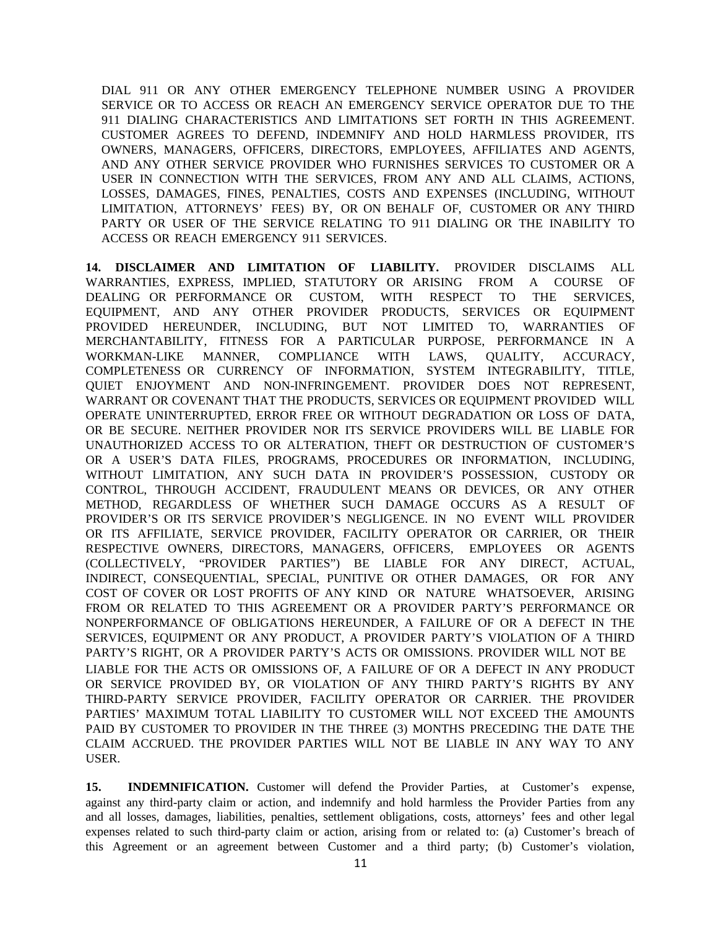DIAL 911 OR ANY OTHER EMERGENCY TELEPHONE NUMBER USING A PROVIDER SERVICE OR TO ACCESS OR REACH AN EMERGENCY SERVICE OPERATOR DUE TO THE 911 DIALING CHARACTERISTICS AND LIMITATIONS SET FORTH IN THIS AGREEMENT. CUSTOMER AGREES TO DEFEND, INDEMNIFY AND HOLD HARMLESS PROVIDER, ITS OWNERS, MANAGERS, OFFICERS, DIRECTORS, EMPLOYEES, AFFILIATES AND AGENTS, AND ANY OTHER SERVICE PROVIDER WHO FURNISHES SERVICES TO CUSTOMER OR A USER IN CONNECTION WITH THE SERVICES, FROM ANY AND ALL CLAIMS, ACTIONS, LOSSES, DAMAGES, FINES, PENALTIES, COSTS AND EXPENSES (INCLUDING, WITHOUT LIMITATION, ATTORNEYS' FEES) BY, OR ON BEHALF OF, CUSTOMER OR ANY THIRD PARTY OR USER OF THE SERVICE RELATING TO 911 DIALING OR THE INABILITY TO ACCESS OR REACH EMERGENCY 911 SERVICES.

**14. DISCLAIMER AND LIMITATION OF LIABILITY.** PROVIDER DISCLAIMS ALL WARRANTIES, EXPRESS, IMPLIED, STATUTORY OR ARISING FROM A COURSE OF DEALING OR PERFORMANCE OR CUSTOM, WITH RESPECT TO THE SERVICES, EQUIPMENT, AND ANY OTHER PROVIDER PRODUCTS, SERVICES OR EQUIPMENT PROVIDED HEREUNDER, INCLUDING, BUT NOT LIMITED TO, WARRANTIES OF MERCHANTABILITY, FITNESS FOR A PARTICULAR PURPOSE, PERFORMANCE IN A WORKMAN-LIKE MANNER, COMPLIANCE WITH LAWS, QUALITY, ACCURACY, COMPLETENESS OR CURRENCY OF INFORMATION, SYSTEM INTEGRABILITY, TITLE, QUIET ENJOYMENT AND NON-INFRINGEMENT. PROVIDER DOES NOT REPRESENT, WARRANT OR COVENANT THAT THE PRODUCTS, SERVICES OR EQUIPMENT PROVIDED WILL OPERATE UNINTERRUPTED, ERROR FREE OR WITHOUT DEGRADATION OR LOSS OF DATA, OR BE SECURE. NEITHER PROVIDER NOR ITS SERVICE PROVIDERS WILL BE LIABLE FOR UNAUTHORIZED ACCESS TO OR ALTERATION, THEFT OR DESTRUCTION OF CUSTOMER'S OR A USER'S DATA FILES, PROGRAMS, PROCEDURES OR INFORMATION, INCLUDING, WITHOUT LIMITATION, ANY SUCH DATA IN PROVIDER'S POSSESSION, CUSTODY OR CONTROL, THROUGH ACCIDENT, FRAUDULENT MEANS OR DEVICES, OR ANY OTHER METHOD, REGARDLESS OF WHETHER SUCH DAMAGE OCCURS AS A RESULT OF PROVIDER'S OR ITS SERVICE PROVIDER'S NEGLIGENCE. IN NO EVENT WILL PROVIDER OR ITS AFFILIATE, SERVICE PROVIDER, FACILITY OPERATOR OR CARRIER, OR THEIR RESPECTIVE OWNERS, DIRECTORS, MANAGERS, OFFICERS, EMPLOYEES OR AGENTS (COLLECTIVELY, "PROVIDER PARTIES") BE LIABLE FOR ANY DIRECT, ACTUAL, INDIRECT, CONSEQUENTIAL, SPECIAL, PUNITIVE OR OTHER DAMAGES, OR FOR ANY COST OF COVER OR LOST PROFITS OF ANY KIND OR NATURE WHATSOEVER, ARISING FROM OR RELATED TO THIS AGREEMENT OR A PROVIDER PARTY'S PERFORMANCE OR NONPERFORMANCE OF OBLIGATIONS HEREUNDER, A FAILURE OF OR A DEFECT IN THE SERVICES, EQUIPMENT OR ANY PRODUCT, A PROVIDER PARTY'S VIOLATION OF A THIRD PARTY'S RIGHT, OR A PROVIDER PARTY'S ACTS OR OMISSIONS. PROVIDER WILL NOT BE LIABLE FOR THE ACTS OR OMISSIONS OF, A FAILURE OF OR A DEFECT IN ANY PRODUCT OR SERVICE PROVIDED BY, OR VIOLATION OF ANY THIRD PARTY'S RIGHTS BY ANY THIRD-PARTY SERVICE PROVIDER, FACILITY OPERATOR OR CARRIER. THE PROVIDER PARTIES' MAXIMUM TOTAL LIABILITY TO CUSTOMER WILL NOT EXCEED THE AMOUNTS PAID BY CUSTOMER TO PROVIDER IN THE THREE (3) MONTHS PRECEDING THE DATE THE CLAIM ACCRUED. THE PROVIDER PARTIES WILL NOT BE LIABLE IN ANY WAY TO ANY USER.

**15. INDEMNIFICATION.** Customer will defend the Provider Parties, at Customer's expense, against any third-party claim or action, and indemnify and hold harmless the Provider Parties from any and all losses, damages, liabilities, penalties, settlement obligations, costs, attorneys' fees and other legal expenses related to such third-party claim or action, arising from or related to: (a) Customer's breach of this Agreement or an agreement between Customer and a third party; (b) Customer's violation,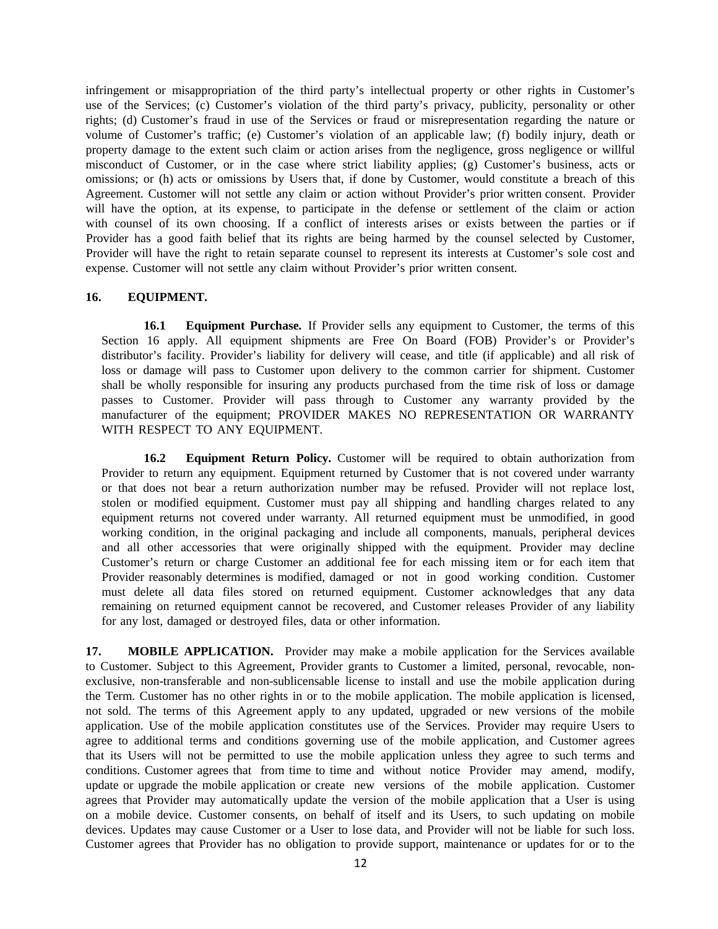infringement or misappropriation of the third party's intellectual property or other rights in Customer's use of the Services; (c) Customer's violation of the third party's privacy, publicity, personality or other rights; (d) Customer's fraud in use of the Services or fraud or misrepresentation regarding the nature or volume of Customer's traffic; (e) Customer's violation of an applicable law; (f) bodily injury, death or property damage to the extent such claim or action arises from the negligence, gross negligence or willful misconduct of Customer, or in the case where strict liability applies; (g) Customer's business, acts or omissions; or (h) acts or omissions by Users that, if done by Customer, would constitute a breach of this Agreement. Customer will not settle any claim or action without Provider's prior written consent. Provider will have the option, at its expense, to participate in the defense or settlement of the claim or action with counsel of its own choosing. If a conflict of interests arises or exists between the parties or if Provider has a good faith belief that its rights are being harmed by the counsel selected by Customer, Provider will have the right to retain separate counsel to represent its interests at Customer's sole cost and expense. Customer will not settle any claim without Provider's prior written consent.

### **16. EQUIPMENT.**

**16.1 Equipment Purchase.** If Provider sells any equipment to Customer, the terms of this Section 16 apply. All equipment shipments are Free On Board (FOB) Provider's or Provider's distributor's facility. Provider's liability for delivery will cease, and title (if applicable) and all risk of loss or damage will pass to Customer upon delivery to the common carrier for shipment. Customer shall be wholly responsible for insuring any products purchased from the time risk of loss or damage passes to Customer. Provider will pass through to Customer any warranty provided by the manufacturer of the equipment; PROVIDER MAKES NO REPRESENTATION OR WARRANTY WITH RESPECT TO ANY EQUIPMENT.

**16.2 Equipment Return Policy.** Customer will be required to obtain authorization from Provider to return any equipment. Equipment returned by Customer that is not covered under warranty or that does not bear a return authorization number may be refused. Provider will not replace lost, stolen or modified equipment. Customer must pay all shipping and handling charges related to any equipment returns not covered under warranty. All returned equipment must be unmodified, in good working condition, in the original packaging and include all components, manuals, peripheral devices and all other accessories that were originally shipped with the equipment. Provider may decline Customer's return or charge Customer an additional fee for each missing item or for each item that Provider reasonably determines is modified, damaged or not in good working condition. Customer must delete all data files stored on returned equipment. Customer acknowledges that any data remaining on returned equipment cannot be recovered, and Customer releases Provider of any liability for any lost, damaged or destroyed files, data or other information.

**17. MOBILE APPLICATION.** Provider may make a mobile application for the Services available to Customer. Subject to this Agreement, Provider grants to Customer a limited, personal, revocable, nonexclusive, non-transferable and non-sublicensable license to install and use the mobile application during the Term. Customer has no other rights in or to the mobile application. The mobile application is licensed, not sold. The terms of this Agreement apply to any updated, upgraded or new versions of the mobile application. Use of the mobile application constitutes use of the Services. Provider may require Users to agree to additional terms and conditions governing use of the mobile application, and Customer agrees that its Users will not be permitted to use the mobile application unless they agree to such terms and conditions. Customer agrees that from time to time and without notice Provider may amend, modify, update or upgrade the mobile application or create new versions of the mobile application. Customer agrees that Provider may automatically update the version of the mobile application that a User is using on a mobile device. Customer consents, on behalf of itself and its Users, to such updating on mobile devices. Updates may cause Customer or a User to lose data, and Provider will not be liable for such loss. Customer agrees that Provider has no obligation to provide support, maintenance or updates for or to the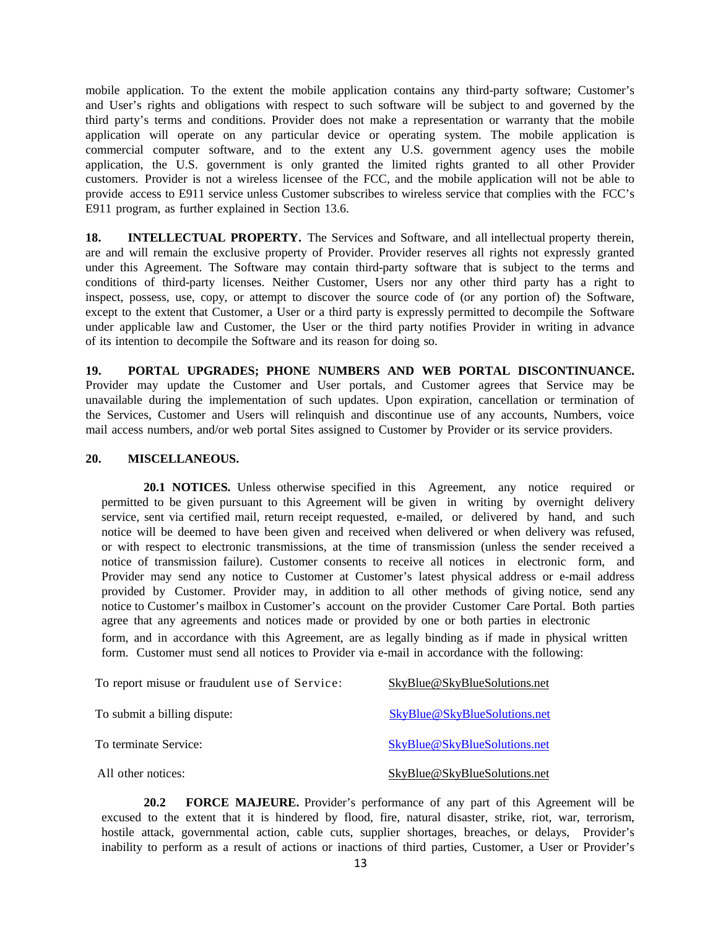mobile application. To the extent the mobile application contains any third-party software; Customer's and User's rights and obligations with respect to such software will be subject to and governed by the third party's terms and conditions. Provider does not make a representation or warranty that the mobile application will operate on any particular device or operating system. The mobile application is commercial computer software, and to the extent any U.S. government agency uses the mobile application, the U.S. government is only granted the limited rights granted to all other Provider customers. Provider is not a wireless licensee of the FCC, and the mobile application will not be able to provide access to E911 service unless Customer subscribes to wireless service that complies with the FCC's E911 program, as further explained in Section 13.6.

**18. INTELLECTUAL PROPERTY.** The Services and Software, and all intellectual property therein, are and will remain the exclusive property of Provider. Provider reserves all rights not expressly granted under this Agreement. The Software may contain third-party software that is subject to the terms and conditions of third-party licenses. Neither Customer, Users nor any other third party has a right to inspect, possess, use, copy, or attempt to discover the source code of (or any portion of) the Software, except to the extent that Customer, a User or a third party is expressly permitted to decompile the Software under applicable law and Customer, the User or the third party notifies Provider in writing in advance of its intention to decompile the Software and its reason for doing so.

**19. PORTAL UPGRADES; PHONE NUMBERS AND WEB PORTAL DISCONTINUANCE.** Provider may update the Customer and User portals, and Customer agrees that Service may be unavailable during the implementation of such updates. Upon expiration, cancellation or termination of the Services, Customer and Users will relinquish and discontinue use of any accounts, Numbers, voice mail access numbers, and/or web portal Sites assigned to Customer by Provider or its service providers.

#### **20. MISCELLANEOUS.**

**20.1 NOTICES.** Unless otherwise specified in this Agreement, any notice required or permitted to be given pursuant to this Agreement will be given in writing by overnight delivery service, sent via certified mail, return receipt requested, e-mailed, or delivered by hand, and such notice will be deemed to have been given and received when delivered or when delivery was refused, or with respect to electronic transmissions, at the time of transmission (unless the sender received a notice of transmission failure). Customer consents to receive all notices in electronic form, and Provider may send any notice to Customer at Customer's latest physical address or e-mail address provided by Customer. Provider may, in addition to all other methods of giving notice, send any notice to Customer's mailbox in Customer's account on the provider Customer Care Portal. Both parties agree that any agreements and notices made or provided by one or both parties in electronic form, and in accordance with this Agreement, are as legally binding as if made in physical written form. Customer must send all notices to Provider via e-mail in accordance with the following:

| To report misuse or fraudulent use of Service: | SkyBlue@SkyBlueSolutions.net |
|------------------------------------------------|------------------------------|
| To submit a billing dispute:                   | SkyBlue@SkyBlueSolutions.net |
| To terminate Service:                          | SkyBlue@SkyBlueSolutions.net |
| All other notices:                             | SkyBlue@SkyBlueSolutions.net |

**20.2 FORCE MAJEURE.** Provider's performance of any part of this Agreement will be excused to the extent that it is hindered by flood, fire, natural disaster, strike, riot, war, terrorism, hostile attack, governmental action, cable cuts, supplier shortages, breaches, or delays, Provider's inability to perform as a result of actions or inactions of third parties, Customer, a User or Provider's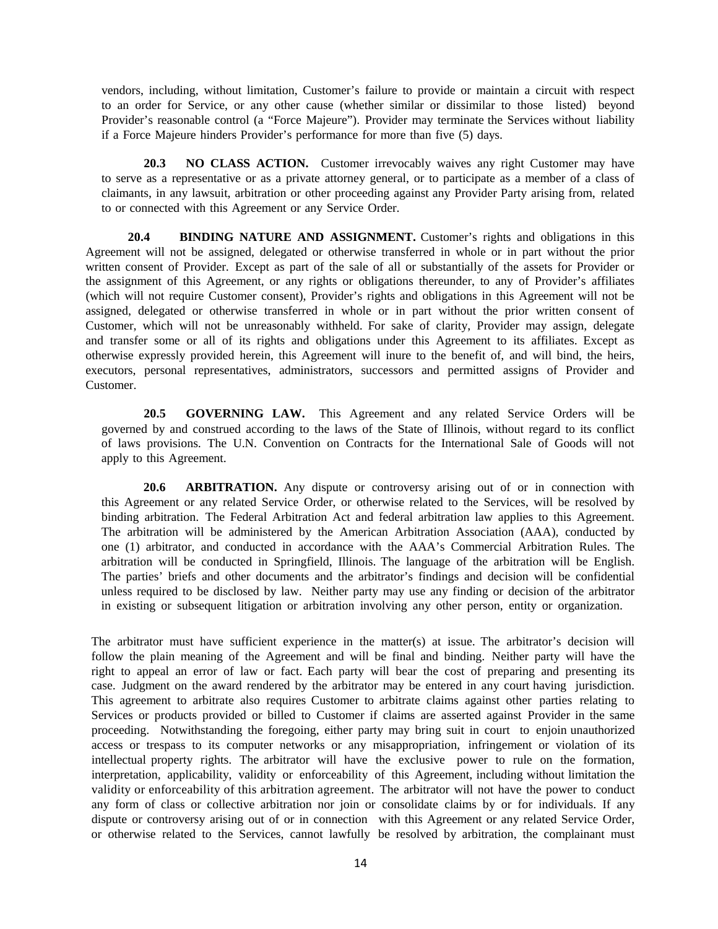vendors, including, without limitation, Customer's failure to provide or maintain a circuit with respect to an order for Service, or any other cause (whether similar or dissimilar to those listed) beyond Provider's reasonable control (a "Force Majeure"). Provider may terminate the Services without liability if a Force Majeure hinders Provider's performance for more than five (5) days.

**20.3 NO CLASS ACTION.** Customer irrevocably waives any right Customer may have to serve as a representative or as a private attorney general, or to participate as a member of a class of claimants, in any lawsuit, arbitration or other proceeding against any Provider Party arising from, related to or connected with this Agreement or any Service Order.

**20.4 BINDING NATURE AND ASSIGNMENT.** Customer's rights and obligations in this Agreement will not be assigned, delegated or otherwise transferred in whole or in part without the prior written consent of Provider. Except as part of the sale of all or substantially of the assets for Provider or the assignment of this Agreement, or any rights or obligations thereunder, to any of Provider's affiliates (which will not require Customer consent), Provider's rights and obligations in this Agreement will not be assigned, delegated or otherwise transferred in whole or in part without the prior written consent of Customer, which will not be unreasonably withheld. For sake of clarity, Provider may assign, delegate and transfer some or all of its rights and obligations under this Agreement to its affiliates. Except as otherwise expressly provided herein, this Agreement will inure to the benefit of, and will bind, the heirs, executors, personal representatives, administrators, successors and permitted assigns of Provider and Customer.

**20.5 GOVERNING LAW.** This Agreement and any related Service Orders will be governed by and construed according to the laws of the State of Illinois, without regard to its conflict of laws provisions. The U.N. Convention on Contracts for the International Sale of Goods will not apply to this Agreement.

**20.6 ARBITRATION.** Any dispute or controversy arising out of or in connection with this Agreement or any related Service Order, or otherwise related to the Services, will be resolved by binding arbitration. The Federal Arbitration Act and federal arbitration law applies to this Agreement. The arbitration will be administered by the American Arbitration Association (AAA), conducted by one (1) arbitrator, and conducted in accordance with the AAA's Commercial Arbitration Rules. The arbitration will be conducted in Springfield, Illinois. The language of the arbitration will be English. The parties' briefs and other documents and the arbitrator's findings and decision will be confidential unless required to be disclosed by law. Neither party may use any finding or decision of the arbitrator in existing or subsequent litigation or arbitration involving any other person, entity or organization.

The arbitrator must have sufficient experience in the matter(s) at issue. The arbitrator's decision will follow the plain meaning of the Agreement and will be final and binding. Neither party will have the right to appeal an error of law or fact. Each party will bear the cost of preparing and presenting its case. Judgment on the award rendered by the arbitrator may be entered in any court having jurisdiction. This agreement to arbitrate also requires Customer to arbitrate claims against other parties relating to Services or products provided or billed to Customer if claims are asserted against Provider in the same proceeding. Notwithstanding the foregoing, either party may bring suit in court to enjoin unauthorized access or trespass to its computer networks or any misappropriation, infringement or violation of its intellectual property rights. The arbitrator will have the exclusive power to rule on the formation, interpretation, applicability, validity or enforceability of this Agreement, including without limitation the validity or enforceability of this arbitration agreement. The arbitrator will not have the power to conduct any form of class or collective arbitration nor join or consolidate claims by or for individuals. If any dispute or controversy arising out of or in connection with this Agreement or any related Service Order, or otherwise related to the Services, cannot lawfully be resolved by arbitration, the complainant must